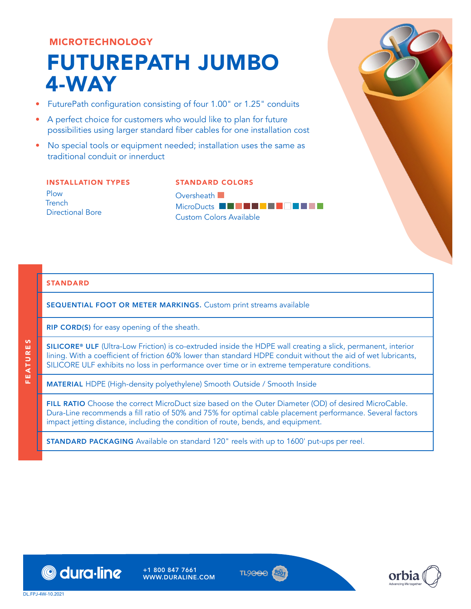## MICROTECHNOLOGY

# FUTUREPATH JUMBO 4-WAY

- FuturePath configuration consisting of four 1.00" or 1.25" conduits
- A perfect choice for customers who would like to plan for future possibilities using larger standard fiber cables for one installation cost
- No special tools or equipment needed; installation uses the same as traditional conduit or innerduct

#### INSTALLATION TYPES Plow **Trench** Directional Bore

STANDARD COLORS Oversheath **D** MicroDucts **BDDSC<sup>R</sup>AWWY** Custom Colors Available

### STANDARD

FEATURES

**FEATURES** 

SEQUENTIAL FOOT OR METER MARKINGS. Custom print streams available

RIP CORD(S) for easy opening of the sheath.

SILICORE® ULF (Ultra-Low Friction) is co-extruded inside the HDPE wall creating a slick, permanent, interior lining. With a coefficient of friction 60% lower than standard HDPE conduit without the aid of wet lubricants, SILICORE ULF exhibits no loss in performance over time or in extreme temperature conditions.

MATERIAL HDPE (High-density polyethylene) Smooth Outside / Smooth Inside

FILL RATIO Choose the correct MicroDuct size based on the Outer Diameter (OD) of desired MicroCable. Dura-Line recommends a fill ratio of 50% and 75% for optimal cable placement performance. Several factors impact jetting distance, including the condition of route, bends, and equipment.

STANDARD PACKAGING Available on standard 120" reels with up to 1600' put-ups per reel.



+1 800 847 7661 WWW.DURALINE.COM